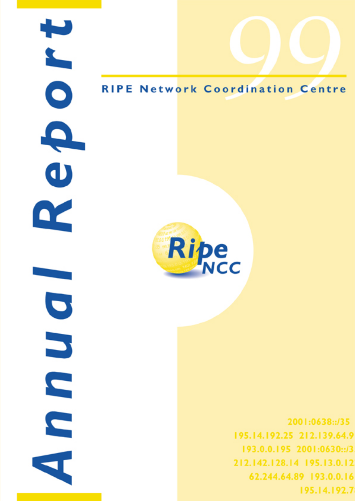Q  $\overline{\mathbf{U}}$  $\boldsymbol{\alpha}$  $\bullet$ 

# **RIPE Network Coordination Centre**



2001:0638::/35 195.14.192.25 212.139.64.9 193.0.0.195 2001:0630::/3 212.142.128.14 195.13.0.12 62.244.64.89 193.0.0.16 195.14.192.7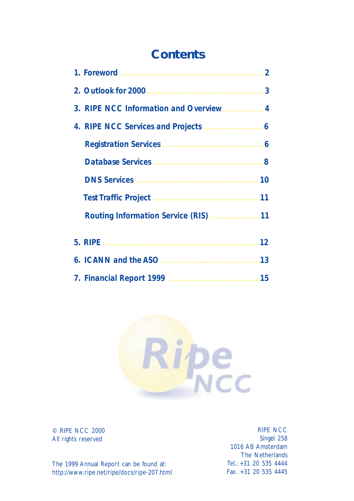# **Contents**

|                                         | $\overline{2}$ |
|-----------------------------------------|----------------|
|                                         |                |
| 3. RIPE NCC Information and Overview  4 |                |
|                                         |                |
|                                         |                |
|                                         |                |
|                                         |                |
|                                         |                |
|                                         |                |
| 12                                      |                |
| 13                                      |                |
|                                         |                |



© RIPE NCC 2000 All rights reserved

RIPE NCC Singel 258 1016 AB Amsterdam The Netherlands Tel.: +31 20 535 4444 Fax. +31 20 535 4445

The 1999 Annual Report can be found at: http://www.ripe.net/ripe/docs/ripe-207.html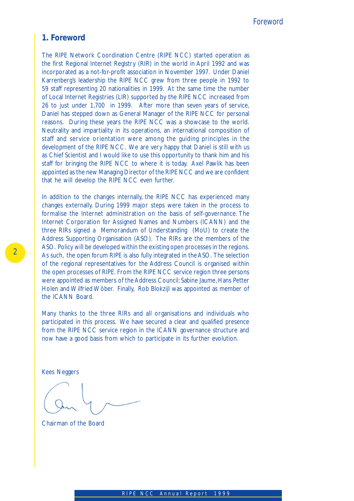## *1. Foreword*

The RIPE Network Coordination Centre (RIPE NCC) started operation as the first Regional Internet Registry (RIR) in the world in April 1992 and was incorporated as a not-for-profit association in November 1997. Under Daniel Karrenberg's leadership the RIPE NCC grew from three people in 1992 to 59 staff representing 20 nationalities in 1999. At the same time the number of Local Internet Registries (LIR) supported by the RIPE NCC increased from 26 to just under 1,700 in 1999. After more than seven years of service, Daniel has stepped down as General Manager of the RIPE NCC for personal reasons. During these years the RIPE NCC was a showcase to the world. Neutrality and impartiality in its operations, an international composition of staff and service orientation were among the guiding principles in the development of the RIPE NCC. We are very happy that Daniel is still with us as Chief Scientist and I would like to use this opportunity to thank him and his staff for bringing the RIPE NCC to where it is today. Axel Pawlik has been appointed as the new Managing Director of the RIPE NCC and we are confident that he will develop the RIPE NCC even further.

In addition to the changes internally, the RIPE NCC has experienced many changes externally. During 1999 major steps were taken in the process to formalise the Internet administration on the basis of self-governance. The Internet Corporation for Assigned Names and Numbers (ICANN) and the three RIRs signed a Memorandum of Understanding (MoU) to create the Address Supporting Organisation (ASO). The RIRs are the members of the ASO. Policy will be developed within the existing open processes in the regions. As such, the open forum RIPE is also fully integrated in the ASO. The selection of the regional representatives for the Address Council is organised within the open processes of RIPE. From the RIPE NCC service region three persons were appointed as members of the Address Council: Sabine Jaume, Hans Petter Holen and Wilfried Wöber. Finally, Rob Blokzijl was appointed as member of the ICANN Board.

Many thanks to the three RIRs and all organisations and individuals who participated in this process. We have secured a clear and qualified presence from the RIPE NCC service region in the ICANN governance structure and now have a good basis from which to participate in its further evolution.

Kees Neggers

Chairman of the Board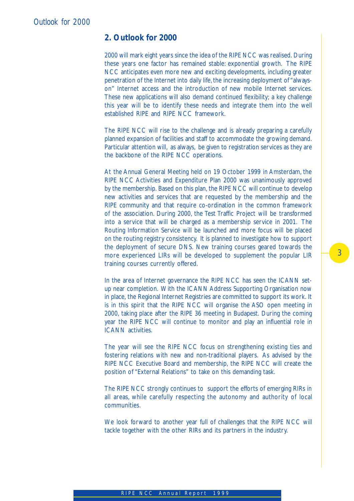## *2. Outlook for 2000*

2000 will mark eight years since the idea of the RIPE NCC was realised. During these years one factor has remained stable: exponential growth. The RIPE NCC anticipates even more new and exciting developments, including greater penetration of the Internet into daily life, the increasing deployment of "alwayson" Internet access and the introduction of new mobile Internet services. These new applications will also demand continued flexibility; a key challenge this year will be to identify these needs and integrate them into the well established RIPE and RIPE NCC framework.

The RIPE NCC will rise to the challenge and is already preparing a carefully planned expansion of facilities and staff to accommodate the growing demand. Particular attention will, as always, be given to registration services as they are the backbone of the RIPE NCC operations.

At the Annual General Meeting held on 19 October 1999 in Amsterdam, the RIPE NCC Activities and Expenditure Plan 2000 was unanimously approved by the membership. Based on this plan, the RIPE NCC will continue to develop new activities and services that are requested by the membership and the RIPE community and that require co-ordination in the common framework of the association. During 2000, the Test Traffic Project will be transformed into a service that will be charged as a membership service in 2001. The Routing Information Service will be launched and more focus will be placed on the routing registry consistency. It is planned to investigate how to support the deployment of secure DNS. New training courses geared towards the more experienced LIRs will be developed to supplement the popular LIR training courses currently offered.

In the area of Internet governance the RIPE NCC has seen the ICANN setup near completion. With the ICANN Address Supporting Organisation now in place, the Regional Internet Registries are committed to support its work. It is in this spirit that the RIPE NCC will organise the ASO open meeting in 2000, taking place after the RIPE 36 meeting in Budapest. During the coming year the RIPE NCC will continue to monitor and play an influential role in ICANN activities.

The year will see the RIPE NCC focus on strengthening existing ties and fostering relations with new and non-traditional players. As advised by the RIPE NCC Executive Board and membership, the RIPE NCC will create the position of "External Relations" to take on this demanding task.

The RIPE NCC strongly continues to support the efforts of emerging RIRs in all areas, while carefully respecting the autonomy and authority of local communities.

We look forward to another year full of challenges that the RIPE NCC will tackle together with the other RIRs and its partners in the industry.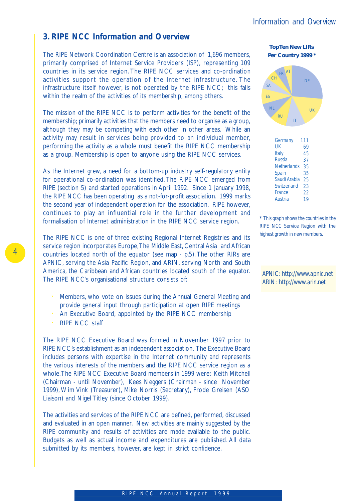## *3. RIPE NCC Information and Overview*

The RIPE Network Coordination Centre is an association of 1,696 members, primarily comprised of Internet Service Providers (ISP), representing 109 countries in its service region. The RIPE NCC services and co-ordination activities support the operation of the Internet infrastructure. The infrastructure itself however, is not operated by the RIPE NCC; this falls within the realm of the activities of its membership, among others.

The mission of the RIPE NCC is to perform activities for the benefit of the membership; primarily activities that the members need to organise as a group, although they may be competing with each other in other areas. While an activity may result in services being provided to an individual member, performing the activity as a whole must benefit the RIPE NCC membership as a group. Membership is open to anyone using the RIPE NCC services.

As the Internet grew, a need for a bottom-up industry self-regulatory entity for operational co-ordination was identified. The RIPE NCC emerged from RIPE (section 5) and started operations in April 1992. Since 1 January 1998, the RIPE NCC has been operating as a not-for-profit association. 1999 marks the second year of independent operation for the association. RIPE however, continues to play an influential role in the further development and formalisation of Internet administration in the RIPE NCC service region.

The RIPE NCC is one of three existing Regional Internet Registries and its service region incorporates Europe, The Middle East, Central Asia and African countries located north of the equator (see map - p.5). The other RIRs are APNIC, serving the Asia Pacific Region, and ARIN, serving North and South America, the Caribbean and African countries located south of the equator. The RIPE NCC's organisational structure consists of:

- Members, who vote on issues during the Annual General Meeting and provide general input through participation at open RIPE meetings
- An Executive Board, appointed by the RIPE NCC membership
- **RIPE NCC staff**

The RIPE NCC Executive Board was formed in November 1997 prior to RIPE NCC's establishment as an independent association. The Executive Board includes persons with expertise in the Internet community and represents the various interests of the members and the RIPE NCC service region as a whole. The RIPE NCC Executive Board members in 1999 were: Keith Mitchell (Chairman - until November), Kees Neggers (Chairman - since November 1999), Wim Vink (Treasurer), Mike Norris (Secretary), Frode Greisen (ASO Liaison) and Nigel Titley (since October 1999).

The activities and services of the RIPE NCC are defined, performed, discussed and evaluated in an open manner. New activities are mainly suggested by the RIPE community and results of activities are made available to the public. Budgets as well as actual income and expenditures are published. All data submitted by its members, however, are kept in strict confidence.

 **Top Ten New LIRs Per Country 1999 \***



*\* This graph shows the countries in the RIPE NCC Service Region with the highest growth in new members.*

*APNIC: http://www.apnic.net ARIN: http://www.arin.net*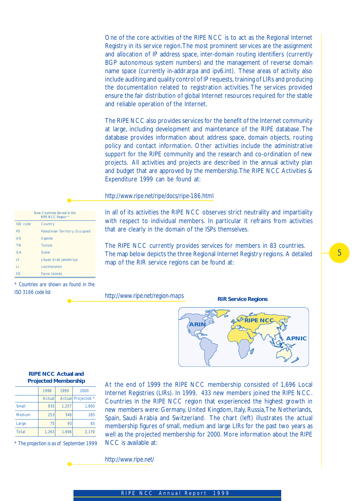One of the core activities of the RIPE NCC is to act as the Regional Internet Registry in its service region. The most prominent services are the assignment and allocation of IP address space, inter-domain routing identifiers (currently BGP autonomous system numbers) and the management of reverse domain name space (currently in-addr.arpa and ipv6.int). These areas of activity also include auditing and quality control of IP requests, training of LIRs and producing the documentation related to registration activities. The services provided ensure the fair distribution of global Internet resources required for the stable and reliable operation of the Internet.

The RIPE NCC also provides services for the benefit of the Internet community at large, including development and maintenance of the RIPE database. The database provides information about address space, domain objects, routing policy and contact information. Other activities include the administrative support for the RIPE community and the research and co-ordination of new projects. All activities and projects are described in the annual activity plan and budget that are approved by the membership. The RIPE NCC Activities & Expenditure 1999 can be found at:

#### *http://www.ripe.net/ripe/docs/ripe-186.html*

|  |  | In all of its activities the RIPE NCC observes strict neutrality and impartiality |  |  |  |
|--|--|-----------------------------------------------------------------------------------|--|--|--|
|  |  | with respect to individual members. In particular it refrains from activities     |  |  |  |
|  |  | that are clearly in the domain of the ISPs themselves.                            |  |  |  |

The RIPE NCC currently provides services for members in 83 countries. The map below depicts the three Regional Internet Registry regions. A detailed map of the RIR service regions can be found at:

#### *http://www.ripe.net/region-maps*

**RIR Service Regions**



#### **RIPE NCC Actual and Projected Membership**

|              | 1998   | 1999  | 2000             |
|--------------|--------|-------|------------------|
|              | Actual |       | Actual Projected |
| Small        | 935    | 1,257 | 1,800            |
| Medium       | 253    | 346   | 285              |
| Large        | 75     | 93    | 85               |
| <b>Total</b> | 1,263  | 1,696 | 2,170            |

*\* The projection is as of September 1999*

At the end of 1999 the RIPE NCC membership consisted of 1,696 Local Internet Registries (LIRs). In 1999, 433 new members joined the RIPE NCC. Countries in the RIPE NCC region that experienced the highest growth in new members were: Germany, United Kingdom, Italy, Russia, The Netherlands, Spain, Saudi Arabia and Switzerland. The chart (left) illustrates the actual membership figures of small, medium and large LIRs for the past two years as well as the projected membership for 2000. More information about the RIPE NCC is available at:

*http://www.ripe.net/*



*\* Countries are shown as found in the ISO 3166 code list*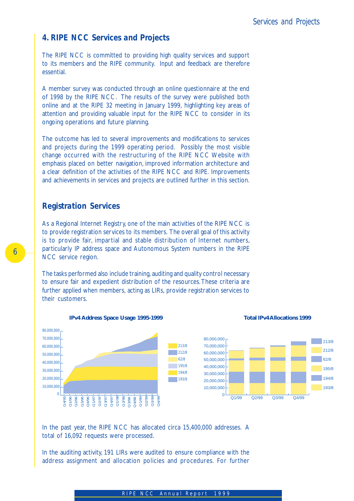## *4. RIPE NCC Services and Projects*

The RIPE NCC is committed to providing high quality services and support to its members and the RIPE community. Input and feedback are therefore essential.

A member survey was conducted through an online questionnaire at the end of 1998 by the RIPE NCC. The results of the survey were published both online and at the RIPE 32 meeting in January 1999, highlighting key areas of attention and providing valuable input for the RIPE NCC to consider in its ongoing operations and future planning.

The outcome has led to several improvements and modifications to services and projects during the 1999 operating period. Possibly the most visible change occurred with the restructuring of the RIPE NCC Website with emphasis placed on better navigation, improved information architecture and a clear definition of the activities of the RIPE NCC and RIPE. Improvements and achievements in services and projects are outlined further in this section.

## *Registration Services*

As a Regional Internet Registry, one of the main activities of the RIPE NCC is to provide registration services to its members. The overall goal of this activity is to provide fair, impartial and stable distribution of Internet numbers, particularly IP address space and Autonomous System numbers in the RIPE NCC service region.

The tasks performed also include training, auditing and quality control necessary to ensure fair and expedient distribution of the resources. These criteria are further applied when members, acting as LIRs, provide registration services to their customers.



## In the past year, the RIPE NCC has allocated circa 15,400,000 addresses. A total of 16,092 requests were processed.

In the auditing activity, 191 LIRs were audited to ensure compliance with the address assignment and allocation policies and procedures. For further

## 6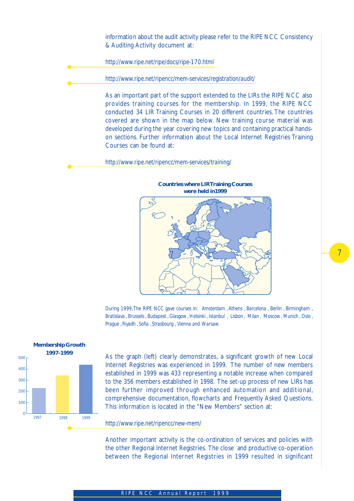information about the audit activity please refer to the RIPE NCC Consistency & Auditing Activity document at:

*http://www.ripe.net/ripe/docs/ripe-170.html*

*http://www.ripe.net/ripencc/mem-services/registration/audit/*

As an important part of the support extended to the LIRs the RIPE NCC also provides training courses for the membership. In 1999, the RIPE NCC conducted 34 LIR Training Courses in 20 different countries. The countries covered are shown in the map below. New training course material was developed during the year covering new topics and containing practical handson sections. Further information about the Local Internet Registries Training Courses can be found at:

*http://www.ripe.net/ripencc/mem-services/training/*



7

*During 1999, The RIPE NCC gave courses in: Amsterdam , Athens , Barcelona , Berlin , Birmingham , Bratislava , Brussels , Budapest , Glasgow , Helsinki , Istanbul , Lisbon , Milan , Moscow , Munich , Oslo , Prague , Riyadh , Sofia , Strasbourg , Vienna and Warsaw.*



As the graph (left) clearly demonstrates, a significant growth of new Local Internet Registries was experienced in 1999. The number of new members established in 1999 was 433 representing a notable increase when compared to the 356 members established in 1998. The set-up process of new LIRs has been further improved through enhanced automation and additional, comprehensive documentation, flowcharts and Frequently Asked Questions. This information is located in the "New Members" section at:

#### *http://www.ripe.net/ripencc/new-mem/*

Another important activity is the co-ordination of services and policies with the other Regional Internet Registries. The close and productive co-operation between the Regional Internet Registries in 1999 resulted in significant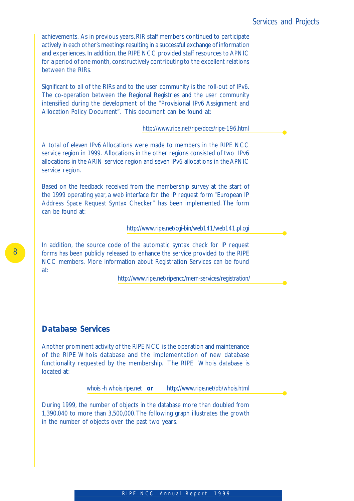achievements. As in previous years, RIR staff members continued to participate actively in each other's meetings resulting in a successful exchange of information and experiences. In addition, the RIPE NCC provided staff resources to APNIC for a period of one month, constructively contributing to the excellent relations between the RIRs.

Significant to all of the RIRs and to the user community is the roll-out of IPv6. The co-operation between the Regional Registries and the user community intensified during the development of the "Provisional IPv6 Assignment and Allocation Policy Document". This document can be found at:

 *http://www.ripe.net/ripe/docs/ripe-196.html*

A total of eleven IPv6 Allocations were made to members in the RIPE NCC service region in 1999. Allocations in the other regions consisted of two IPv6 allocations in the ARIN service region and seven IPv6 allocations in the APNIC service region.

Based on the feedback received from the membership survey at the start of the 1999 operating year, a web interface for the IP request form "European IP Address Space Request Syntax Checker" has been implemented. The form can be found at:

 *http://www.ripe.net/cgi-bin/web141/web141.pl.cgi*

In addition, the source code of the automatic syntax check for IP request forms has been publicly released to enhance the service provided to the RIPE NCC members. More information about Registration Services can be found at:

 *http://www.ripe.net/ripencc/mem-services/registration/*

## *Database Services*

Another prominent activity of the RIPE NCC is the operation and maintenance of the RIPE Whois database and the implementation of new database functionality requested by the membership. The RIPE Whois database is located at:

 *whois -h whois.ripe.net or http://www.ripe.net/db/whois.html*

During 1999, the number of objects in the database more than doubled from 1,390,040 to more than 3,500,000. The following graph illustrates the growth in the number of objects over the past two years.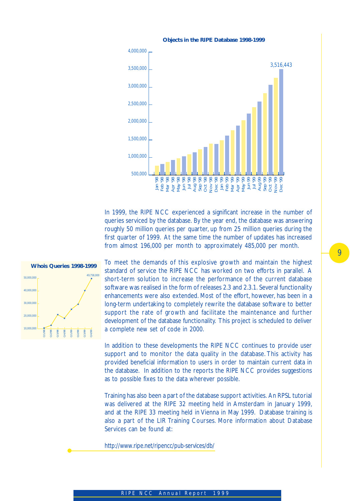

In 1999, the RIPE NCC experienced a significant increase in the number of queries serviced by the database. By the year end, the database was answering roughly 50 million queries per quarter, up from 25 million queries during the first quarter of 1999. At the same time the number of updates has increased from almost 196,000 per month to approximately 485,000 per month.



To meet the demands of this explosive growth and maintain the highest standard of service the RIPE NCC has worked on two efforts in parallel. A short-term solution to increase the performance of the current database software was realised in the form of releases 2.3 and 2.3.1. Several functionality enhancements were also extended. Most of the effort, however, has been in a long-term undertaking to completely rewrite the database software to better support the rate of growth and facilitate the maintenance and further development of the database functionality. This project is scheduled to deliver a complete new set of code in 2000.

In addition to these developments the RIPE NCC continues to provide user support and to monitor the data quality in the database. This activity has provided beneficial information to users in order to maintain current data in the database. In addition to the reports the RIPE NCC provides suggestions as to possible fixes to the data wherever possible.

Training has also been a part of the database support activities. An RPSL tutorial was delivered at the RIPE 32 meeting held in Amsterdam in January 1999, and at the RIPE 33 meeting held in Vienna in May 1999. Database training is also a part of the LIR Training Courses. More information about Database Services can be found at:

*http://www.ripe.net/ripencc/pub-services/db/*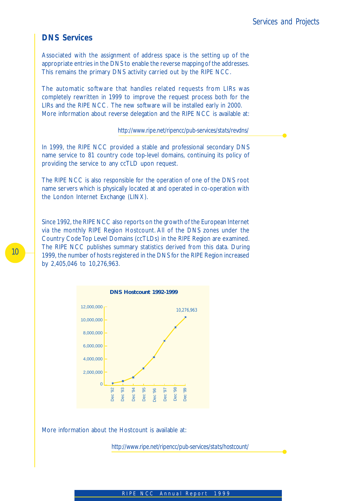## *DNS Services*

Associated with the assignment of address space is the setting up of the appropriate entries in the DNS to enable the reverse mapping of the addresses. This remains the primary DNS activity carried out by the RIPE NCC.

The automatic software that handles related requests from LIRs was completely rewritten in 1999 to improve the request process both for the LIRs and the RIPE NCC. The new software will be installed early in 2000. More information about reverse delegation and the RIPE NCC is available at:

 *http://www.ripe.net/ripencc/pub-services/stats/revdns/*

In 1999, the RIPE NCC provided a stable and professional secondary DNS name service to 81 country code top-level domains, continuing its policy of providing the service to any ccTLD upon request.

The RIPE NCC is also responsible for the operation of one of the DNS root name servers which is physically located at and operated in co-operation with the London Internet Exchange (LINX).

Since 1992, the RIPE NCC also reports on the growth of the European Internet via the monthly RIPE Region Hostcount. All of the DNS zones under the Country Code Top Level Domains (ccTLDs) in the RIPE Region are examined. The RIPE NCC publishes summary statistics derived from this data. During 1999, the number of hosts registered in the DNS for the RIPE Region increased by 2,405,046 to 10,276,963.



More information about the Hostcount is available at:

 *http://www.ripe.net/ripencc/pub-services/stats/hostcount/*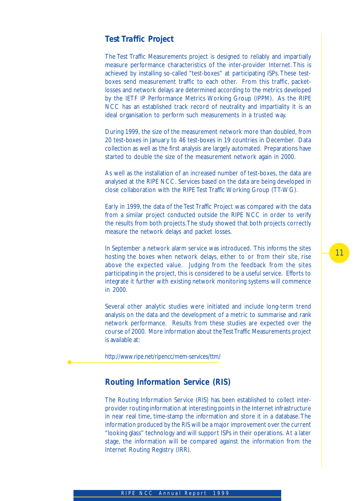## *Test Traffic Project*

The Test Traffic Measurements project is designed to reliably and impartially measure performance characteristics of the inter-provider Internet. This is achieved by installing so-called "test-boxes" at participating ISPs. These testboxes send measurement traffic to each other. From this traffic, packetlosses and network delays are determined according to the metrics developed by the IETF IP Performance Metrics Working Group (IPPM). As the RIPE NCC has an established track record of neutrality and impartiality it is an ideal organisation to perform such measurements in a trusted way.

During 1999, the size of the measurement network more than doubled, from 20 test-boxes in January to 46 test-boxes in 19 countries in December. Data collection as well as the first analysis are largely automated. Preparations have started to double the size of the measurement network again in 2000.

As well as the installation of an increased number of test-boxes, the data are analysed at the RIPE NCC. Services based on the data are being developed in close collaboration with the RIPE Test Traffic Working Group (TT-WG).

Early in 1999, the data of the Test Traffic Project was compared with the data from a similar project conducted outside the RIPE NCC in order to verify the results from both projects. The study showed that both projects correctly measure the network delays and packet losses.

In September a network alarm service was introduced. This informs the sites hosting the boxes when network delays, either to or from their site, rise above the expected value. Judging from the feedback from the sites participating in the project, this is considered to be a useful service. Efforts to integrate it further with existing network monitoring systems will commence in 2000.

Several other analytic studies were initiated and include long-term trend analysis on the data and the development of a metric to summarise and rank network performance. Results from these studies are expected over the course of 2000. More information about the Test Traffic Measurements project is available at:

*http://www.ripe.net/ripencc/mem-services/ttm/*

## *Routing Information Service (RIS)*

The Routing Information Service (RIS) has been established to collect interprovider routing information at interesting points in the Internet infrastructure in near real time, time-stamp the information and store it in a database. The information produced by the RIS will be a major improvement over the current "looking glass" technology and will support ISPs in their operations. At a later stage, the information will be compared against the information from the Internet Routing Registry (IRR).

## 11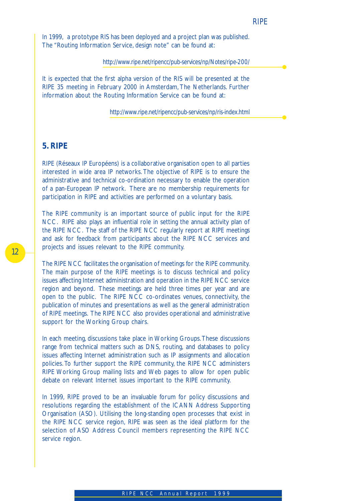In 1999, a prototype RIS has been deployed and a project plan was published. The "Routing Information Service, design note" can be found at:

 *http://www.ripe.net/ripencc/pub-services/np/Notes/ripe-200/*

It is expected that the first alpha version of the RIS will be presented at the RIPE 35 meeting in February 2000 in Amsterdam, The Netherlands. Further information about the Routing Information Service can be found at:

 *http://www.ripe.net/ripencc/pub-services/np/ris-index.html*

## *5. RIPE*

RIPE (Réseaux IP Européens) is a collaborative organisation open to all parties interested in wide area IP networks. The objective of RIPE is to ensure the administrative and technical co-ordination necessary to enable the operation of a pan-European IP network. There are no membership requirements for participation in RIPE and activities are performed on a voluntary basis.

The RIPE community is an important source of public input for the RIPE NCC. RIPE also plays an influential role in setting the annual activity plan of the RIPE NCC. The staff of the RIPE NCC regularly report at RIPE meetings and ask for feedback from participants about the RIPE NCC services and projects and issues relevant to the RIPE community.

The RIPE NCC facilitates the organisation of meetings for the RIPE community. The main purpose of the RIPE meetings is to discuss technical and policy issues affecting Internet administration and operation in the RIPE NCC service region and beyond. These meetings are held three times per year and are open to the public. The RIPE NCC co-ordinates venues, connectivity, the publication of minutes and presentations as well as the general administration of RIPE meetings. The RIPE NCC also provides operational and administrative support for the Working Group chairs.

In each meeting, discussions take place in Working Groups. These discussions range from technical matters such as DNS, routing, and databases to policy issues affecting Internet administration such as IP assignments and allocation policies. To further support the RIPE community, the RIPE NCC administers RIPE Working Group mailing lists and Web pages to allow for open public debate on relevant Internet issues important to the RIPE community.

In 1999, RIPE proved to be an invaluable forum for policy discussions and resolutions regarding the establishment of the ICANN Address Supporting Organisation (ASO). Utilising the long-standing open processes that exist in the RIPE NCC service region, RIPE was seen as the ideal platform for the selection of ASO Address Council members representing the RIPE NCC service region.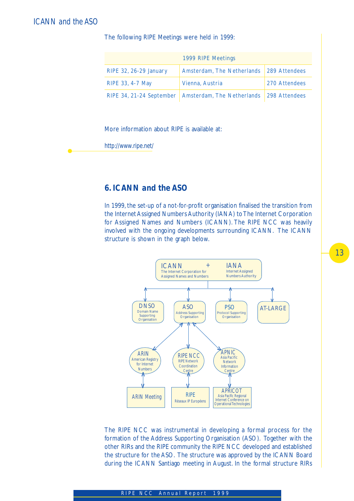## *ICANN and the ASO*

The following RIPE Meetings were held in 1999:

|                        | 1999 RIPE Meetings                                                    |               |
|------------------------|-----------------------------------------------------------------------|---------------|
| RIPE 32, 26-29 January | Amsterdam, The Netherlands 289 Attendees                              |               |
| RIPE 33, 4-7 May       | Vienna, Austria                                                       | 270 Attendees |
|                        | RIPE 34, 21-24 September   Amsterdam, The Netherlands   298 Attendees |               |

More information about RIPE is available at:

*http://www.ripe.net/*

## *6. ICANN and the ASO*

In 1999, the set-up of a not-for-profit organisation finalised the transition from the Internet Assigned Numbers Authority (IANA) to The Internet Corporation for Assigned Names and Numbers (ICANN). The RIPE NCC was heavily involved with the ongoing developments surrounding ICANN. The ICANN structure is shown in the graph below.



The RIPE NCC was instrumental in developing a formal process for the formation of the Address Supporting Organisation (ASO). Together with the other RIRs and the RIPE community the RIPE NCC developed and established the structure for the ASO. The structure was approved by the ICANN Board during the ICANN Santiago meeting in August. In the formal structure RIRs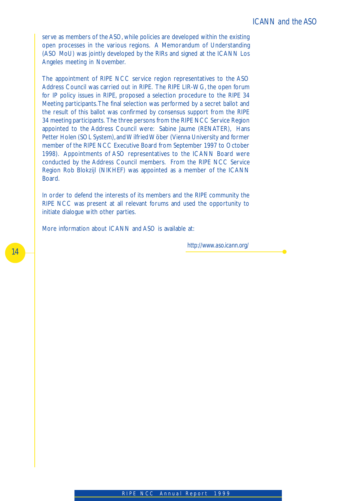serve as members of the ASO, while policies are developed within the existing open processes in the various regions. A Memorandum of Understanding (ASO MoU) was jointly developed by the RIRs and signed at the ICANN Los Angeles meeting in November.

The appointment of RIPE NCC service region representatives to the ASO Address Council was carried out in RIPE. The RIPE LIR-WG, the open forum for IP policy issues in RIPE, proposed a selection procedure to the RIPE 34 Meeting participants. The final selection was performed by a secret ballot and the result of this ballot was confirmed by consensus support from the RIPE 34 meeting participants. The three persons from the RIPE NCC Service Region appointed to the Address Council were: Sabine Jaume (RENATER), Hans Petter Holen (SOL System), and Wilfried Wöber (Vienna University and former member of the RIPE NCC Executive Board from September 1997 to October 1998). Appointments of ASO representatives to the ICANN Board were conducted by the Address Council members. From the RIPE NCC Service Region Rob Blokzijl (NIKHEF) was appointed as a member of the ICANN Board.

In order to defend the interests of its members and the RIPE community the RIPE NCC was present at all relevant forums and used the opportunity to initiate dialogue with other parties.

More information about ICANN and ASO is available at:

 *http://www.aso.icann.org/*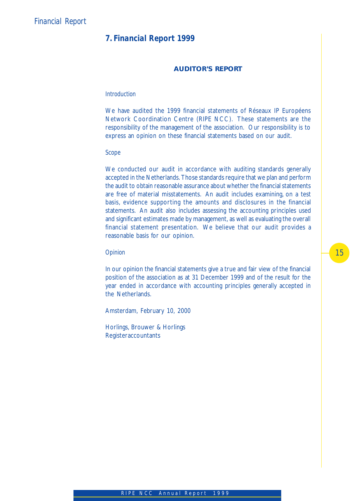## *7. Financial Report 1999*

## **AUDITOR'S REPORT**

#### *Introduction*

We have audited the 1999 financial statements of Réseaux IP Européens Network Coordination Centre (RIPE NCC). These statements are the responsibility of the management of the association. Our responsibility is to express an opinion on these financial statements based on our audit.

### *Scope*

We conducted our audit in accordance with auditing standards generally accepted in the Netherlands. Those standards require that we plan and perform the audit to obtain reasonable assurance about whether the financial statements are free of material misstatements. An audit includes examining, on a test basis, evidence supporting the amounts and disclosures in the financial statements. An audit also includes assessing the accounting principles used and significant estimates made by management, as well as evaluating the overall financial statement presentation. We believe that our audit provides a reasonable basis for our opinion.

#### *Opinion*

In our opinion the financial statements give a true and fair view of the financial position of the association as at 31 December 1999 and of the result for the year ended in accordance with accounting principles generally accepted in the Netherlands.

Amsterdam, February 10, 2000

Horlings, Brouwer & Horlings **Registeraccountants**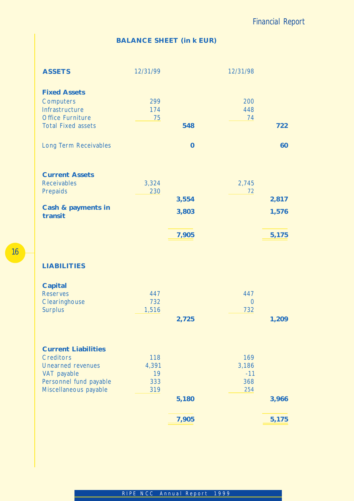# **BALANCE SHEET (in k EUR)**

| <b>ASSETS</b>                                                                                                                                | 12/31/99                         |                         | 12/31/98                            |                         |
|----------------------------------------------------------------------------------------------------------------------------------------------|----------------------------------|-------------------------|-------------------------------------|-------------------------|
| <b>Fixed Assets</b><br>Computers<br>Infrastructure<br><b>Office Furniture</b><br><b>Total Fixed assets</b>                                   | 299<br>174<br>75                 | 548                     | 200<br>448<br>74                    | 722                     |
| Long Term Receivables                                                                                                                        |                                  | $\bf{0}$                |                                     | 60                      |
| <b>Current Assets</b><br><b>Receivables</b><br>Prepaids<br>Cash & payments in<br>transit                                                     | 3,324<br>230                     | 3,554<br>3,803<br>7,905 | 2,745<br>72                         | 2,817<br>1,576<br>5,175 |
| <b>LIABILITIES</b>                                                                                                                           |                                  |                         |                                     |                         |
| Capital<br><b>Reserves</b><br>Clearinghouse<br><b>Surplus</b>                                                                                | 447<br>732<br>1,516              | 2,725                   | 447<br>$\overline{0}$<br>732        | 1,209                   |
| <b>Current Liabilities</b><br><b>Creditors</b><br><b>Unearned revenues</b><br>VAT payable<br>Personnel fund payable<br>Miscellaneous payable | 118<br>4,391<br>19<br>333<br>319 | 5,180                   | 169<br>3,186<br>$-11$<br>368<br>254 | 3,966                   |
|                                                                                                                                              |                                  | 7,905                   |                                     | 5,175                   |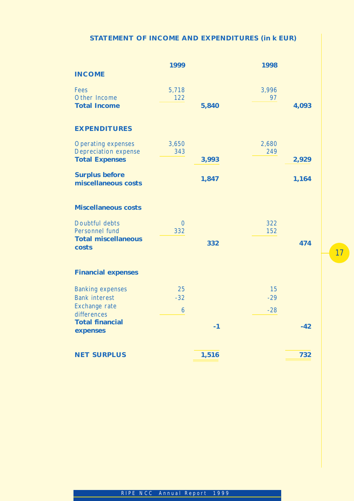## **STATEMENT OF INCOME AND EXPENDITURES (in k EUR)**

|                                                          | 1999                  |       | 1998         |       |
|----------------------------------------------------------|-----------------------|-------|--------------|-------|
| <b>INCOME</b>                                            |                       |       |              |       |
| <b>Fees</b><br>Other Income                              | 5,718<br>122          |       | 3,996<br>97  |       |
| <b>Total Income</b>                                      |                       | 5,840 |              | 4,093 |
| <b>EXPENDITURES</b>                                      |                       |       |              |       |
| <b>Operating expenses</b><br><b>Depreciation expense</b> | 3,650<br>343          |       | 2,680<br>249 |       |
| <b>Total Expenses</b>                                    |                       | 3,993 |              | 2,929 |
| <b>Surplus before</b><br>miscellaneous costs             |                       | 1,847 |              | 1,164 |
| <b>Miscellaneous costs</b>                               |                       |       |              |       |
| Doubtful debts<br>Personnel fund                         | $\overline{0}$<br>332 |       | 322<br>152   |       |
| <b>Total miscellaneous</b><br>costs                      |                       | 332   |              | 474   |
| <b>Financial expenses</b>                                |                       |       |              |       |
| <b>Banking expenses</b><br><b>Bank interest</b>          | 25<br>$-32$           |       | 15<br>$-29$  |       |
| Exchange rate                                            | 6                     |       | $-28$        |       |
| differences<br><b>Total financial</b>                    |                       |       |              |       |
| expenses                                                 |                       | $-1$  |              | $-42$ |
| <b>NET SURPLUS</b>                                       |                       | 1,516 |              | 732   |

17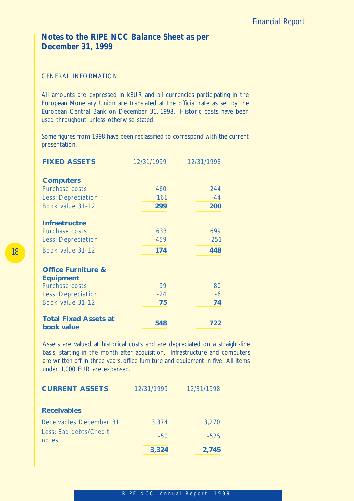## *Notes to the RIPE NCC Balance Sheet as per December 31, 1999*

## GENERAL INFORMATION

All amounts are expressed in kEUR and all currencies participating in the European Monetary Union are translated at the official rate as set by the European Central Bank on December 31, 1998. Historic costs have been used throughout unless otherwise stated.

Some figures from 1998 have been reclassified to correspond with the current presentation.

| <b>FIXED ASSETS</b>                        | 12/31/1999 | 12/31/1998 |
|--------------------------------------------|------------|------------|
|                                            |            |            |
| <b>Computers</b>                           |            |            |
| Purchase costs                             | 460        | 244        |
| <b>Less: Depreciation</b>                  | $-161$     | $-44$      |
| Book value 31-12                           | 299        | 200        |
| <b>Infrastructre</b>                       |            |            |
| Purchase costs                             | 633        | 699        |
| <b>Less: Depreciation</b>                  | $-459$     | $-251$     |
| Book value 31-12                           | 174        | 448        |
| <b>Office Furniture &amp;</b>              |            |            |
| <b>Equipment</b>                           |            |            |
| Purchase costs                             | 99         | 80         |
| <b>Less: Depreciation</b>                  | $-24$      | $-6$       |
| Book value 31-12                           | 75         | 74         |
| <b>Total Fixed Assets at</b><br>book value | 548        | 722        |

Assets are valued at historical costs and are depreciated on a straight-line basis, starting in the month after acquisition. Infrastructure and computers are written off in three years, office furniture and equipment in five. All items under 1,000 EUR are expensed.

| <b>CURRENT ASSETS</b>           | 12/31/1999 | 12/31/1998 |
|---------------------------------|------------|------------|
| <b>Receivables</b>              |            |            |
| Receivables December 31         | 3,374      | 3,270      |
| Less: Bad debts/Credit<br>notes | $-50$      | $-525$     |
|                                 | 3,324      | 2,745      |

## 18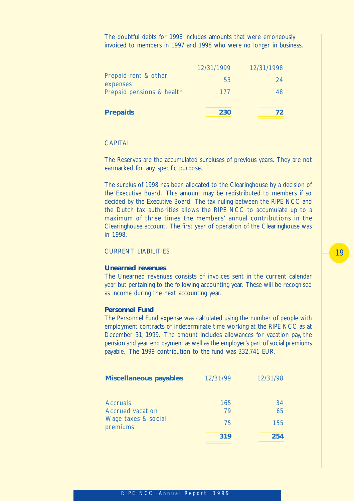The doubtful debts for 1998 includes amounts that were erroneously invoiced to members in 1997 and 1998 who were no longer in business.

|                                  | 12/31/1999 | 12/31/1998 |
|----------------------------------|------------|------------|
| Prepaid rent & other<br>expenses | 53         | 24         |
| Prepaid pensions & health        | 177        | 48         |
|                                  |            |            |
| <b>Prepaids</b>                  | 230        | 72         |
|                                  |            |            |

## **CAPITAL**

The Reserves are the accumulated surpluses of previous years. They are not earmarked for any specific purpose.

The surplus of 1998 has been allocated to the Clearinghouse by a decision of the Executive Board. This amount may be redistributed to members if so decided by the Executive Board. The tax ruling between the RIPE NCC and the Dutch tax authorities allows the RIPE NCC to accumulate up to a maximum of three times the members' annual contributions in the Clearinghouse account. The first year of operation of the Clearinghouse was in 1998.

## CURRENT LIABILITIES

#### **Unearned revenues**

The Unearned revenues consists of invoices sent in the current calendar year but pertaining to the following accounting year. These will be recognised as income during the next accounting year.

## **Personnel Fund**

The Personnel Fund expense was calculated using the number of people with employment contracts of indeterminate time working at the RIPE NCC as at December 31, 1999. The amount includes allowances for vacation pay, the pension and year end payment as well as the employer's part of social premiums payable. The 1999 contribution to the fund was 332,741 EUR.

| <b>Miscellaneous payables</b>                              | 12/31/99        | 12/31/98        |
|------------------------------------------------------------|-----------------|-----------------|
| <b>Accruals</b><br>Accrued vacation<br>Wage taxes & social | 165<br>79<br>75 | 34<br>65<br>155 |
| premiums                                                   | 319             | 254             |

# 19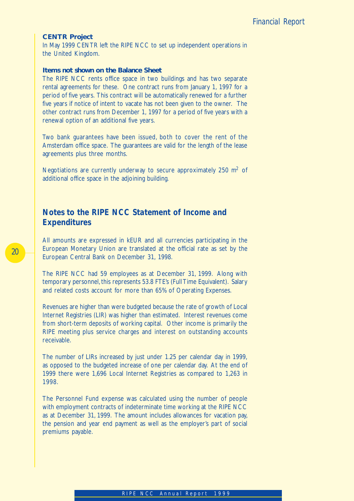### **CENTR Project**

In May 1999 CENTR left the RIPE NCC to set up independent operations in the United Kingdom.

## **Items not shown on the Balance Sheet**

The RIPE NCC rents office space in two buildings and has two separate rental agreements for these. One contract runs from January 1, 1997 for a period of five years. This contract will be automatically renewed for a further five years if notice of intent to vacate has not been given to the owner. The other contract runs from December 1, 1997 for a period of five years with a renewal option of an additional five years.

Two bank guarantees have been issued, both to cover the rent of the Amsterdam office space. The guarantees are valid for the length of the lease agreements plus three months.

Negotiations are currently underway to secure approximately 250  $m<sup>2</sup>$  of additional office space in the adjoining building.

## *Notes to the RIPE NCC Statement of Income and Expenditures*

All amounts are expressed in kEUR and all currencies participating in the European Monetary Union are translated at the official rate as set by the European Central Bank on December 31, 1998.

The RIPE NCC had 59 employees as at December 31, 1999. Along with temporary personnel, this represents 53.8 FTE's (Full Time Equivalent). Salary and related costs account for more than 65% of Operating Expenses.

Revenues are higher than were budgeted because the rate of growth of Local Internet Registries (LIR) was higher than estimated. Interest revenues come from short-term deposits of working capital. Other income is primarily the RIPE meeting plus service charges and interest on outstanding accounts receivable.

The number of LIRs increased by just under 1.25 per calendar day in 1999, as opposed to the budgeted increase of one per calendar day. At the end of 1999 there were 1,696 Local Internet Registries as compared to 1,263 in 1998.

The Personnel Fund expense was calculated using the number of people with employment contracts of indeterminate time working at the RIPE NCC as at December 31, 1999. The amount includes allowances for vacation pay, the pension and year end payment as well as the employer's part of social premiums payable.